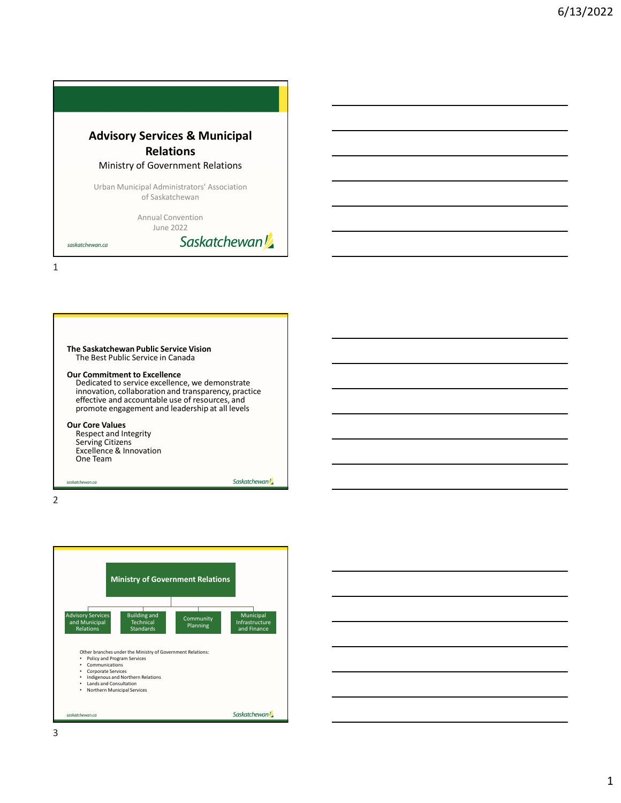

|                                                 | The Saskatchewan Public Service Vision<br>The Best Public Service in Canada                                                                                |                                                 |  |  |
|-------------------------------------------------|------------------------------------------------------------------------------------------------------------------------------------------------------------|-------------------------------------------------|--|--|
|                                                 | <b>Our Commitment to Excellence</b>                                                                                                                        | Dedicated to service excellence, we demonstrate |  |  |
|                                                 | innovation, collaboration and transparency, practice<br>effective and accountable use of resources, and<br>promote engagement and leadership at all levels |                                                 |  |  |
| <b>Our Core Values</b><br>Respect and Integrity |                                                                                                                                                            |                                                 |  |  |
|                                                 | <b>Serving Citizens</b><br>Excellence & Innovation<br>One Team                                                                                             |                                                 |  |  |
|                                                 | saskatchewan.ca                                                                                                                                            | Saskatchewan!                                   |  |  |

2 and 2 and 2 and 2 and 2 and 2 and 2 and 2 and 2 and 2 and 2 and 2 and 2 and 2 and 2 and 2 and 2 and 2 and 2

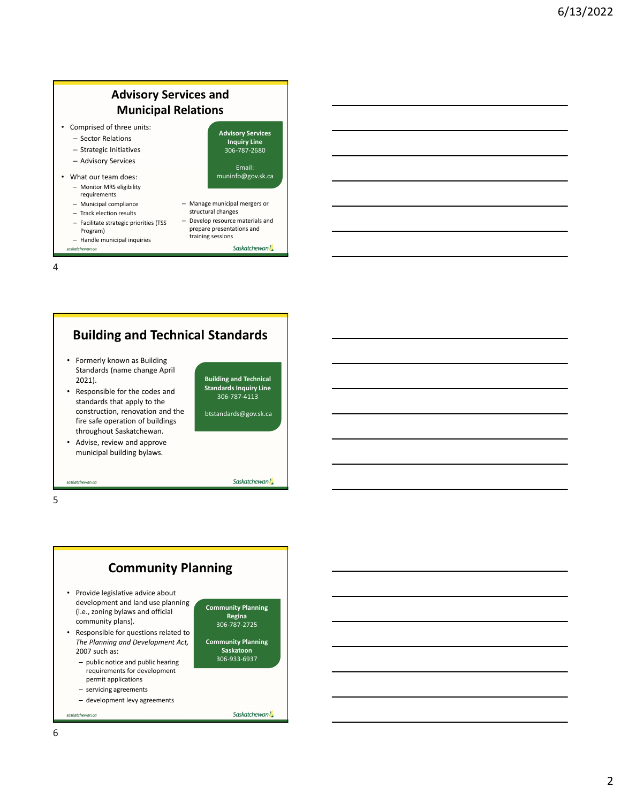2

#### Advisory Services and Municipal Relations • Comprised of three units: – Sector Relations Advisory Services

- Strategic Initiatives
- Advisory Services
- What our team does: – Monitor MRS eligibility
	- requirements - Municipal compliance - Manage municipal mergers or
	- Track election results
	- Facilitate strategic priorities (TSS Program)
	-
- saskatchewan.ca

Inquiry Line 306-787-2680 Email: muninfo@gov.sk.ca

- structural changes – Develop resource materials and
- Municipal compliance Manage municipal mergers or<br>
 Track election results structural changes<br>
 Facilitate strategic priorities (TSS Develop resource materials and<br>
Program) Handle municipal inquiries training ses prepare presentations and training sessions

Saskatchewan!

4



municipal building bylaws.

saskatchewan.ca

 $5<sub>5</sub>$ 

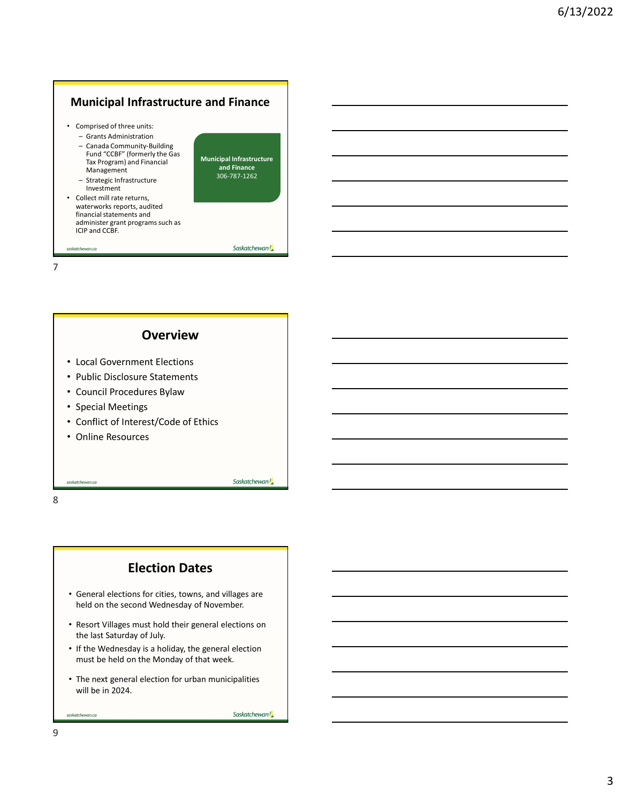# Municipal Infrastructure and Finance

- Comprised of three units:
	-
- **Iunicipal Infrastructure and Finance**<br>
 Grants Administration<br>
 Grants Administration<br>
 Canada Community-Building<br> **End <sup>4</sup>CGB<sup>or</sup> (formerly the Gas**<br> **Municipal Infrastructure**<br> **Management discripal infrastructure**<br> **Iunicipal Infrastructure and Finance**<br>
— Grants Administration<br>
— Grants Administration<br>
— Canada Community-Building<br>
Fund "CCBF" (formerly the Gas<br>
Fund "CCBF" (formerly the Gas<br>
Municipal Infrastructure<br>
Management<br>
Man Fund "CCBF" (formerly the Gas Tax Program) and Financial Management<br>- Strategic Infrastructure
	- Investment
- **I unicipal Infrastructure and Finance**<br>
 Grants Administration<br>
 Cranda Community-Building<br>
 Canada Community-Building<br>
 Tand "CGE" (formerly the Gas<br>
Municipal Infrastructure<br>
Management<br>
 Strategic Infrastructure<br> • Collect mill rate returns, waterworks reports, audited financial statements and administer grant programs such as ICIP and CCBF.

Municipal Infrastructure and Finance 306-787-1262

#### 7

#### **Overview**

- Local Government Elections
- Public Disclosure Statements
- Council Procedures Bylaw
- Special Meetings
- Conflict of Interest/Code of Ethics
- Online Resources

saskatchewan.ca

8 and 2010 and 2010 and 2010 and 2010 and 2010 and 2010 and 2010 and 2010 and 2010 and 2010 and 2010 and 2010

#### Election Dates

- General elections for cities, towns, and villages are held on the second Wednesday of November.
- Resort Villages must hold their general elections on the last Saturday of July.
- If the Wednesday is a holiday, the general election must be held on the Monday of that week.
- The next general election for urban municipalities will be in 2024.

Saskatchewan!

Saskatchewan!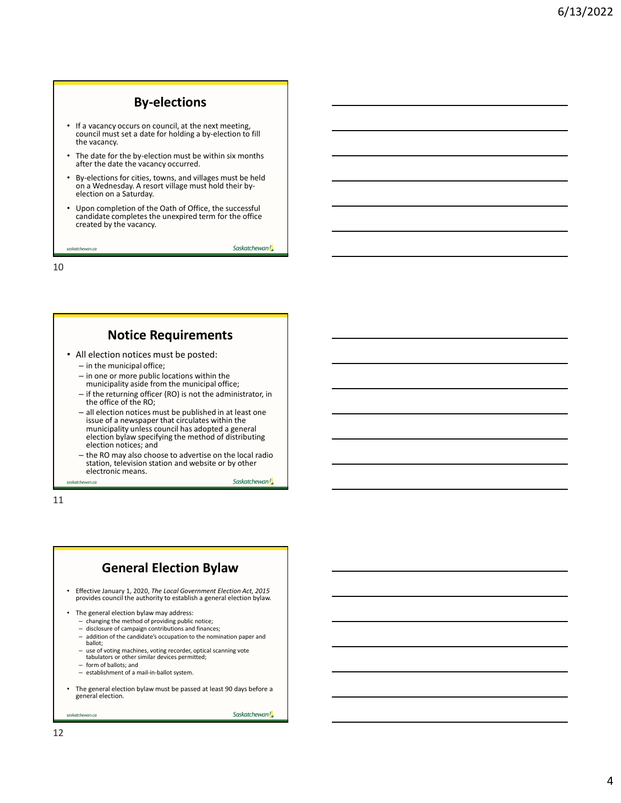# By-elections

- If a vacancy occurs on council, at the next meeting, council must set a date for holding a by-election to fill the vacancy.
- The date for the by-election must be within six months **a** after the date the vacancy occurred.
- By-elections for cities, towns, and villages must be held  $\qquad \qquad \Box$ on a Wednesday. A resort village must hold their byelection on a Saturday.
- Upon completion of the Oath of Office, the successful candidate completes the unexpired term for the office created by the vacancy.

Saskatchewan!

10

saskatchewan.ca

#### Notice Requirements

- All election notices must be posted: – in the municipal office;
	- in one or more public locations within the
	- municipality aside from the municipal office;
	- if the returning officer (RO) is not the administrator, in the office of the RO;
	- all election notices must be published in at least one issue of a newspaper that circulates within the municipality unless council has adopted a general election bylaw specifying the method of distributing election notices; and
	- the RO may also choose to advertise on the local radio station, television station and website or by other electronic means. Saskatchewan!

11

# General Election Bylaw

- Effective January 1, 2020, The Local Government Election Act, 2015 provides council the authority to establish a general election bylaw.
- The general election bylaw may address:
	- changing the method of providing public notice;
	- disclosure of campaign contributions and finances;
	- addition of the candidate's occupation to the nomination paper and ballot;
	- use of voting machines, voting recorder, optical scanning vote tabulators or other similar devices permitted;
	- form of ballots; and
	- establishment of a mail-in-ballot system.
- The general election bylaw must be passed at least 90 days before a general election.

saskatchewan.ca

Saskatchewan!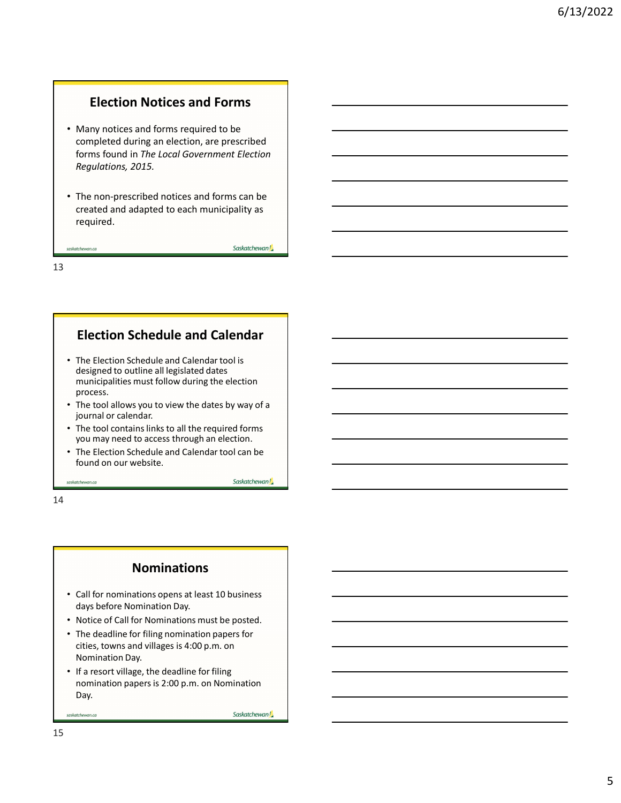### Election Notices and Forms

- Many notices and forms required to be completed during an election, are prescribed forms found in The Local Government Election Regulations, 2015.
- The non-prescribed notices and forms can be created and adapted to each municipality as required.

Saskatchewan!

Saskatchewan!

13

saskatchewan.ca

### Election Schedule and Calendar

- The Election Schedule and Calendar tool is designed to outline all legislated dates municipalities must follow during the election process.
- The tool allows you to view the dates by way of a journal or calendar.
- The tool contains links to all the required forms you may need to access through an election.
- The Election Schedule and Calendar tool can be found on our website.

saskatchewan.ca

14

#### Nominations

- Call for nominations opens at least 10 business days before Nomination Day.
- Notice of Call for Nominations must be posted.
- The deadline for filing nomination papers for cities, towns and villages is 4:00 p.m. on Nomination Day.
- If a resort village, the deadline for filing nomination papers is 2:00 p.m. on Nomination Day.

Saskatchewan!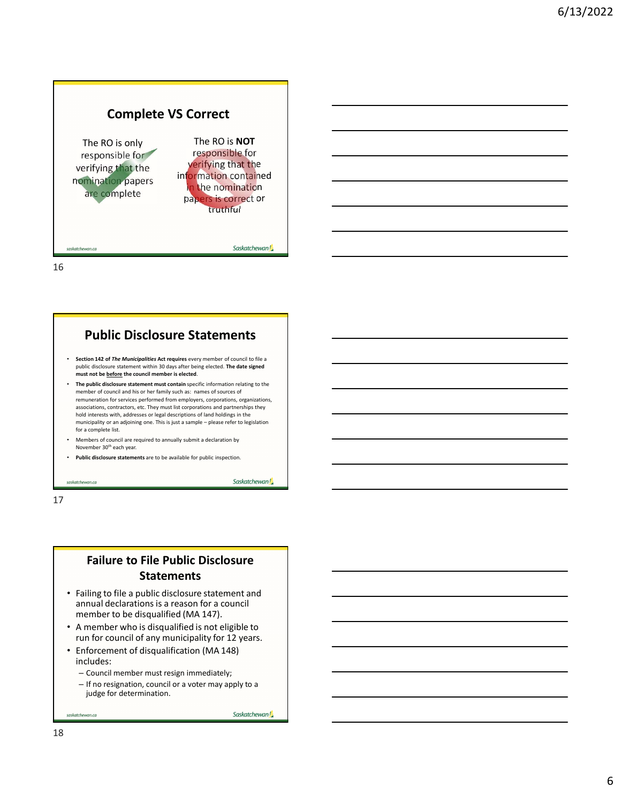# Complete VS Correct

The RO is only responsible for verifying that the nomination papers are complete

The RO is NOT responsible for verifying that the information contained n the nomination papers is correct or truthful

16

#### Public Disclosure Statements

- Section 142 of The Municipalities Act requires every member of council to file a public disclosure statement within 30 days after being elected. The date signed
- **Public disclosure statement with 30** days after being that the council member of the council member is elected. **The date of the council member is elected. The public disclosure statement must contain specific informat** member of council and his or her family such as: names of sources of remuneration for services performed from employers, corporations, organizations, associations, contractors, etc. They must list corporations and partnerships they hold interests with, addresses or legal descriptions of land holdings in the municipality or an adjoining one. This is just a sample – please refer to legislation municipality that the plane of the computation of the computation of the computation of the computation of the computation of the computation of the computation of the computation of the control of the control of the comp for a complete list.
- Members of council are required to annually submit a declaration by November 30<sup>th</sup> each year.
- Public disclosure statements are to be available for public inspection.

17

#### Failure to File Public Disclosure **Statements**

- Failing to file a public disclosure statement and annual declarations is a reason for a council member to be disqualified (MA 147).
- A member who is disqualified is not eligible to run for council of any municipality for 12 years.
- Enforcement of disqualification (MA 148) includes:
	- Council member must resign immediately;
	- If no resignation, council or a voter may apply to a judge for determination.

Saskatchewan!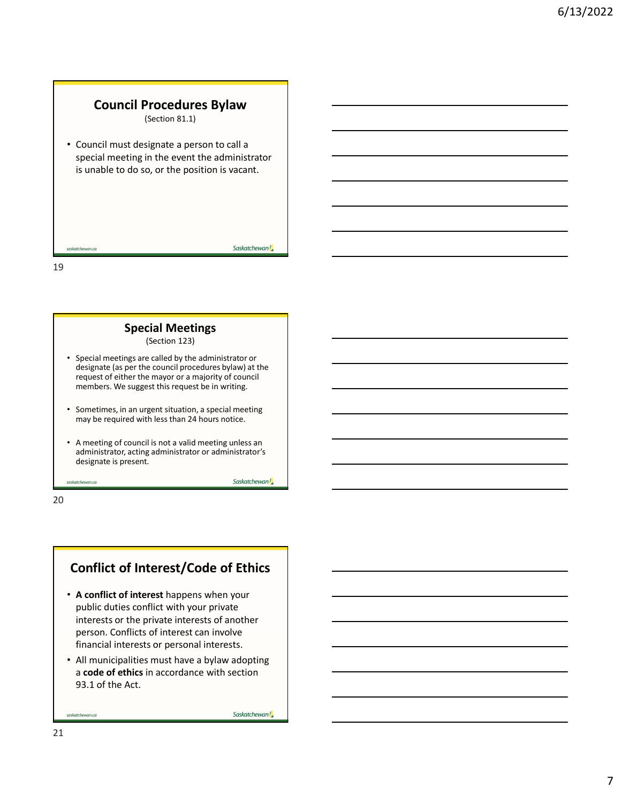## Council Procedures Bylaw

(Section 81.1)

• Council must designate a person to call a special meeting in the event the administrator is unable to do so, or the position is vacant.

19

#### Special Meetings

(Section 123)

- Special meetings are called by the administrator or designate (as per the council procedures bylaw) at the Council must designate a person to call a<br>special meeting in the event the administrator<br>is unable to do so, or the position is vacant.<br><br><br>strategies the may be concerned to the material meeting<br>Special meetings are called members. We suggest this request be in writing.
- Sometimes, in an urgent situation, a special meeting may be required with less than 24 hours notice.
- A meeting of council is not a valid meeting unless an administrator, acting administrator or administrator's designate is present.

saskatchewan.ca

20

## Conflict of Interest/Code of Ethics

- A conflict of interest happens when your public duties conflict with your private interests or the private interests of another person. Conflicts of interest can involve financial interests or personal interests.
- All municipalities must have a bylaw adopting a code of ethics in accordance with section 93.1 of the Act.

Saskatchewan!

Saskatchewan!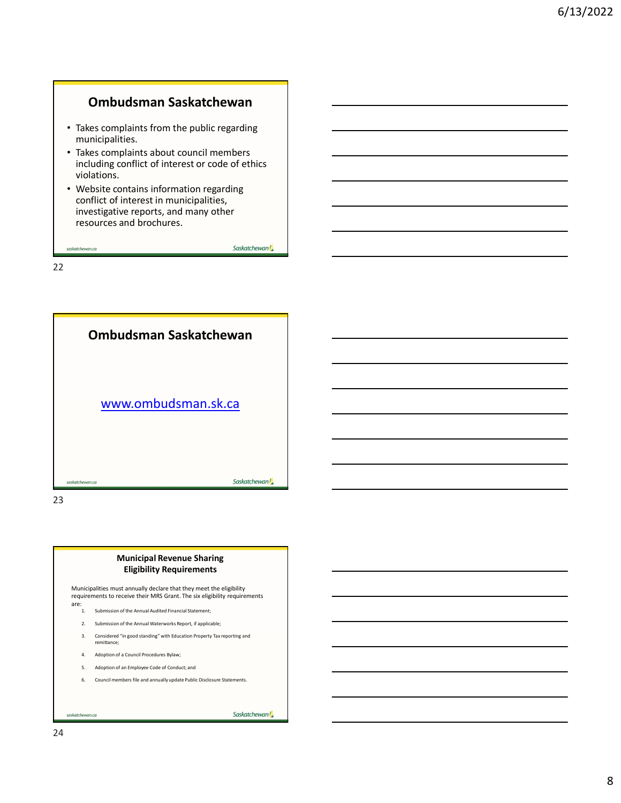## Ombudsman Saskatchewan

- Takes complaints from the public regarding municipalities.
- Takes complaints about council members including conflict of interest or code of ethics violations.
- Website contains information regarding conflict of interest in municipalities, investigative reports, and many other resources and brochures.

Saskatchewan!

22

saskatchewan.ca



#### Municipal Revenue Sharing Eligibility Requirements

Municipalities must annually declare that they meet the eligibility

- 
- 
- 
- 
- 
-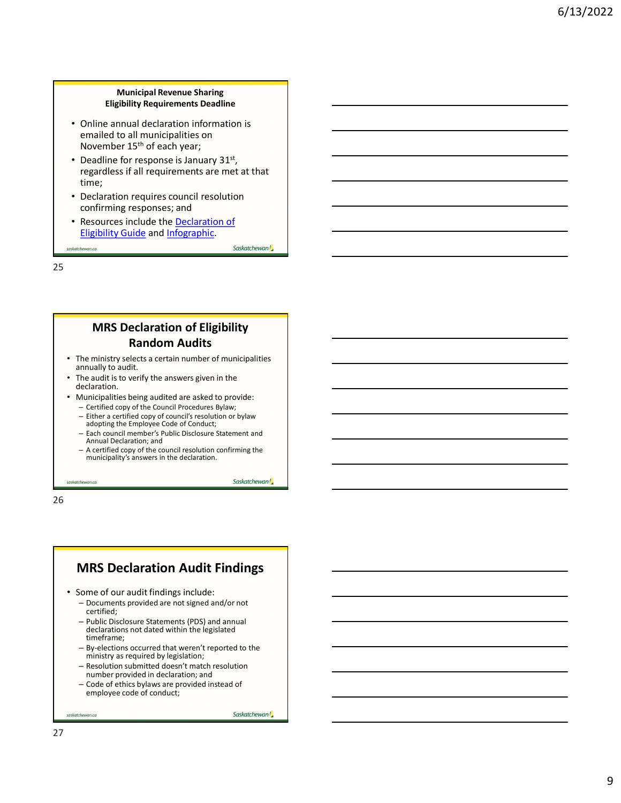#### Municipal Revenue Sharing Eligibility Requirements Deadline

- Online annual declaration information is emailed to all municipalities on November 15th of each year;
- Deadline for response is January  $31<sup>st</sup>$ , regardless if all requirements are met at that time;
- Declaration requires council resolution confirming responses; and
- Resources include the Declaration of Eligibility Guide and Infographic.

Saskatchewan!

Saskatchewan!

25

saskatchewan.ca

#### MRS Declaration of Eligibility Random Audits

- The ministry selects a certain number of municipalities annually to audit.
- The audit is to verify the answers given in the declaration.
- Municipalities being audited are asked to provide:
	- Certified copy of the Council Procedures Bylaw;
	- Either a certified copy of council's resolution or bylaw adopting the Employee Code of Conduct;
	- Each council member's Public Disclosure Statement and Annual Declaration; and
	- A certified copy of the council resolution confirming the municipality's answers in the declaration.

saskatchewan.ca

26

### MRS Declaration Audit Findings

- Some of our audit findings include:
	- Documents provided are not signed and/or not certified;
	- Public Disclosure Statements (PDS) and annual declarations not dated within the legislated timeframe;
	- By-elections occurred that weren't reported to the ministry as required by legislation;
	- Resolution submitted doesn't match resolution number provided in declaration; and
	- Code of ethics bylaws are provided instead of employee code of conduct;

Saskatchewan!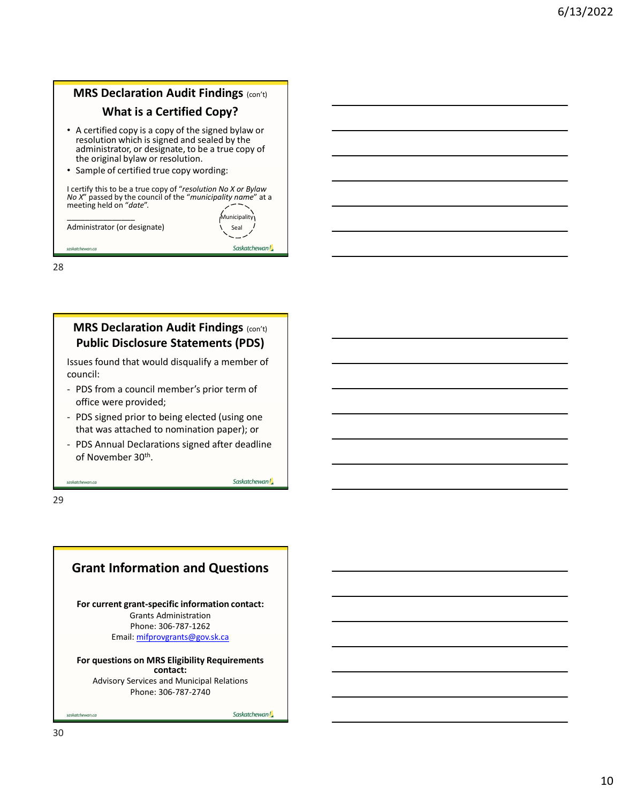# **MRS Declaration Audit Findings (con't)** What is a Certified Copy? • A certified copy is a copy of the signed bylaw or resolution which is signed and sealed by the administrator, or designate, to be a true copy of the original bylaw or resolution. • Sample of certified true copy wording: I certify this to be a true copy of "resolution No X or Bylaw No X" passed by the council of the "municipality name" at a meeting held on "date". \_\_\_\_\_\_\_\_\_\_\_\_\_\_\_ Municipality resolution which is signed and sealed by the<br>
administrator, or designate, to be a true copy of<br>
the original bylaw or resolution.<br>  $\cdot$  Sample of certified true copy wording:<br>
Lectify this to be a true copy of "resolutio Consideration Control Considered (Using one Consideration Consideration of Divider Passado V the consideration of the "municipality name" at a<br>
needing held on "drage".<br>
Administrator (or designate)<br>
Administrator (or desi Techny ins to each court of the countril of the "municipality name" at a<br>meeting held on "date".<br>
Administrator (or designate)<br>
Administrator (or designate)<br>
State (see Proper and Control of the "municipality name" at a<br>
S



28

#### **MRS Declaration Audit Findings (con't)** Public Disclosure Statements (PDS)

Issues found that would disqualify a member of council:

- office were provided;
- that was attached to nomination paper); or
- of November 30th. .

29

## Grant Information and Questions

For current grant-specific information contact: Grants Administration Phone: 306-787-1262 Email: mifprovgrants@gov.sk.ca

#### For questions on MRS Eligibility Requirements contact:

Advisory Services and Municipal Relations Phone: 306-787-2740

Saskatchewan!